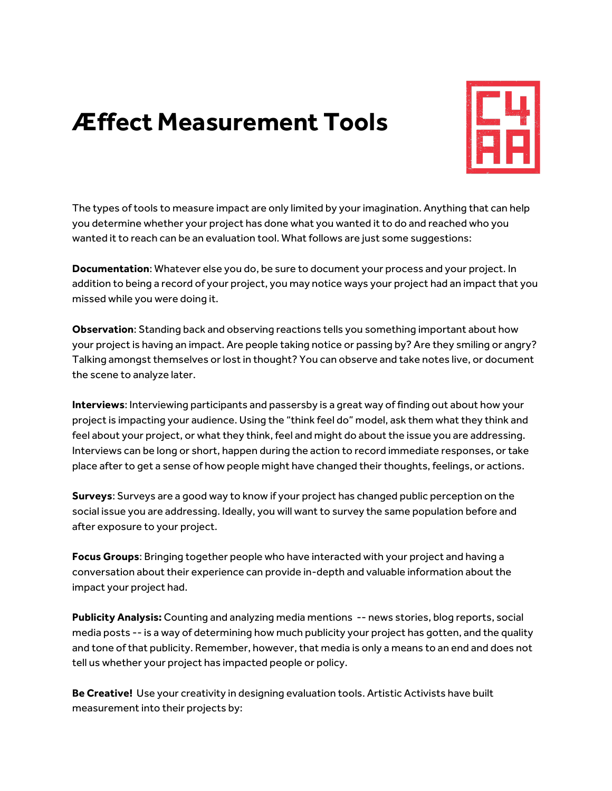## **Æffect Measurement Tools**



The types of tools to measure impact are only limited by your imagination. Anything that can help you determine whether your project has done what you wanted it to do and reached who you wanted it to reach can be an evaluation tool. What follows are just some suggestions:

**Documentation**: Whatever else you do, be sure to document your process and your project. In addition to being a record of your project, you may notice ways your project had an impact that you missed while you were doing it.

**Observation**: Standing back and observing reactions tells you something important about how your project is having an impact. Are people taking notice or passing by? Are they smiling or angry? Talking amongst themselves or lost in thought? You can observe and take notes live, or document the scene to analyze later.

**Interviews**: Interviewing participants and passersby is a great way of finding out about how your project is impacting your audience. Using the "think feel do" model, ask them what they think and feel about your project, or what they think, feel and might do about the issue you are addressing. Interviews can be long or short, happen during the action to record immediate responses, or take place after to get a sense of how people might have changed their thoughts, feelings, or actions.

**Surveys**: Surveys are a good way to know if your project has changed public perception on the social issue you are addressing. Ideally, you will want to survey the same population before and after exposure to your project.

**Focus Groups**: Bringing together people who have interacted with your project and having a conversation about their experience can provide in-depth and valuable information about the impact your project had.

**Publicity Analysis:** Counting and analyzing media mentions -- news stories, blog reports, social media posts -- is a way of determining how much publicity your project has gotten, and the quality and tone of that publicity. Remember, however, that media is only a means to an end and does not tell us whether your project has impacted people or policy.

**Be Creative!** Use your creativity in designing evaluation tools. Artistic Activists have built measurement into their projects by: